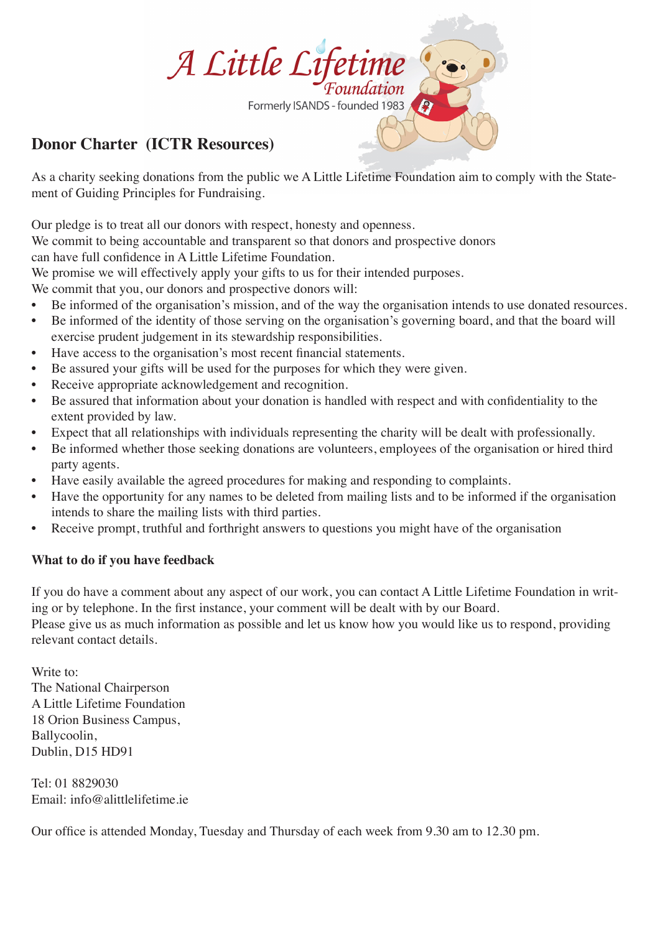

## **Donor Charter (ICTR Resources)**

As a charity seeking donations from the public we A Little Lifetime Foundation aim to comply with the Statement of Guiding Principles for Fundraising.

Our pledge is to treat all our donors with respect, honesty and openness.

We commit to being accountable and transparent so that donors and prospective donors

can have full confidence in A Little Lifetime Foundation.

We promise we will effectively apply your gifts to us for their intended purposes.

We commit that you, our donors and prospective donors will:

- Be informed of the organisation's mission, and of the way the organisation intends to use donated resources.
- Be informed of the identity of those serving on the organisation's governing board, and that the board will exercise prudent judgement in its stewardship responsibilities.
- Have access to the organisation's most recent financial statements.
- Be assured your gifts will be used for the purposes for which they were given.
- Receive appropriate acknowledgement and recognition.
- Be assured that information about your donation is handled with respect and with confidentiality to the extent provided by law.
- Expect that all relationships with individuals representing the charity will be dealt with professionally.
- Be informed whether those seeking donations are volunteers, employees of the organisation or hired third party agents.
- Have easily available the agreed procedures for making and responding to complaints.
- Have the opportunity for any names to be deleted from mailing lists and to be informed if the organisation intends to share the mailing lists with third parties.
- Receive prompt, truthful and forthright answers to questions you might have of the organisation

### **What to do if you have feedback**

If you do have a comment about any aspect of our work, you can contact A Little Lifetime Foundation in writing or by telephone. In the first instance, your comment will be dealt with by our Board. Please give us as much information as possible and let us know how you would like us to respond, providing relevant contact details.

Write to: The National Chairperson A Little Lifetime Foundation 18 Orion Business Campus, Ballycoolin, Dublin, D15 HD91

Tel: 01 8829030 Email: info@alittlelifetime.ie

Our office is attended Monday, Tuesday and Thursday of each week from 9.30 am to 12.30 pm.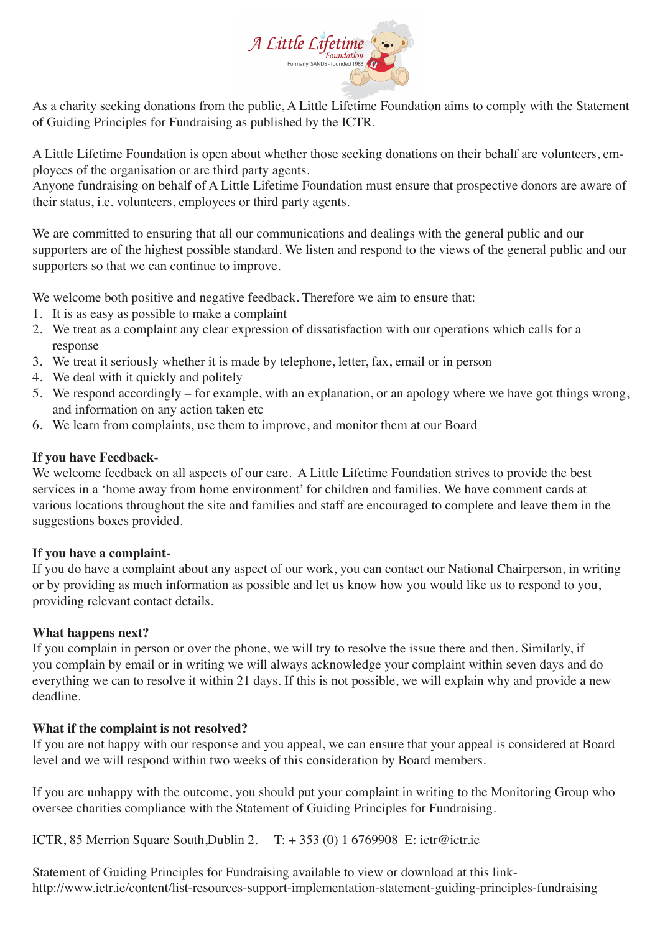

As a charity seeking donations from the public, A Little Lifetime Foundation aims to comply with the Statement of Guiding Principles for Fundraising as published by the ICTR.

A Little Lifetime Foundation is open about whether those seeking donations on their behalf are volunteers, employees of the organisation or are third party agents.

Anyone fundraising on behalf of A Little Lifetime Foundation must ensure that prospective donors are aware of their status, i.e. volunteers, employees or third party agents.

We are committed to ensuring that all our communications and dealings with the general public and our supporters are of the highest possible standard. We listen and respond to the views of the general public and our supporters so that we can continue to improve.

We welcome both positive and negative feedback. Therefore we aim to ensure that:

- 1. It is as easy as possible to make a complaint
- 2. We treat as a complaint any clear expression of dissatisfaction with our operations which calls for a response
- 3. We treat it seriously whether it is made by telephone, letter, fax, email or in person
- 4. We deal with it quickly and politely
- 5. We respond accordingly for example, with an explanation, or an apology where we have got things wrong, and information on any action taken etc
- 6. We learn from complaints, use them to improve, and monitor them at our Board

### **If you have Feedback-**

We welcome feedback on all aspects of our care. A Little Lifetime Foundation strives to provide the best services in a 'home away from home environment' for children and families. We have comment cards at various locations throughout the site and families and staff are encouraged to complete and leave them in the suggestions boxes provided.

### **If you have a complaint-**

If you do have a complaint about any aspect of our work, you can contact our National Chairperson, in writing or by providing as much information as possible and let us know how you would like us to respond to you, providing relevant contact details.

### **What happens next?**

If you complain in person or over the phone, we will try to resolve the issue there and then. Similarly, if you complain by email or in writing we will always acknowledge your complaint within seven days and do everything we can to resolve it within 21 days. If this is not possible, we will explain why and provide a new deadline.

### **What if the complaint is not resolved?**

If you are not happy with our response and you appeal, we can ensure that your appeal is considered at Board level and we will respond within two weeks of this consideration by Board members.

If you are unhappy with the outcome, you should put your complaint in writing to the Monitoring Group who oversee charities compliance with the Statement of Guiding Principles for Fundraising.

ICTR, 85 Merrion Square South, Dublin 2. T:  $+ 353 (0) 1 6769908$  E: ictr@ictr.ie

Statement of Guiding Principles for Fundraising available to view or download at this linkhttp://www.ictr.ie/content/list-resources-support-implementation-statement-guiding-principles-fundraising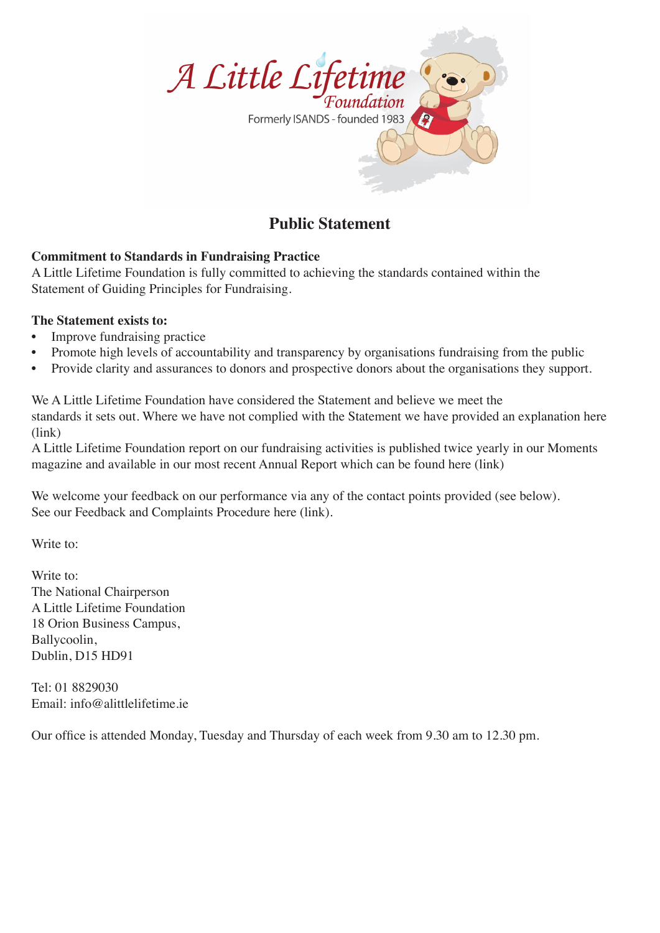

# **Public Statement**

### **Commitment to Standards in Fundraising Practice**

A Little Lifetime Foundation is fully committed to achieving the standards contained within the Statement of Guiding Principles for Fundraising.

### **The Statement exists to:**

- Improve fundraising practice
- Promote high levels of accountability and transparency by organisations fundraising from the public
- Provide clarity and assurances to donors and prospective donors about the organisations they support.

We A Little Lifetime Foundation have considered the Statement and believe we meet the standards it sets out. Where we have not complied with the Statement we have provided an explanation here (link)

A Little Lifetime Foundation report on our fundraising activities is published twice yearly in our Moments magazine and available in our most recent Annual Report which can be found here (link)

We welcome your feedback on our performance via any of the contact points provided (see below). See our Feedback and Complaints Procedure here (link).

Write to:

Write to: The National Chairperson A Little Lifetime Foundation 18 Orion Business Campus, Ballycoolin, Dublin, D15 HD91

Tel: 01 8829030 Email: info@alittlelifetime.ie

Our office is attended Monday, Tuesday and Thursday of each week from 9.30 am to 12.30 pm.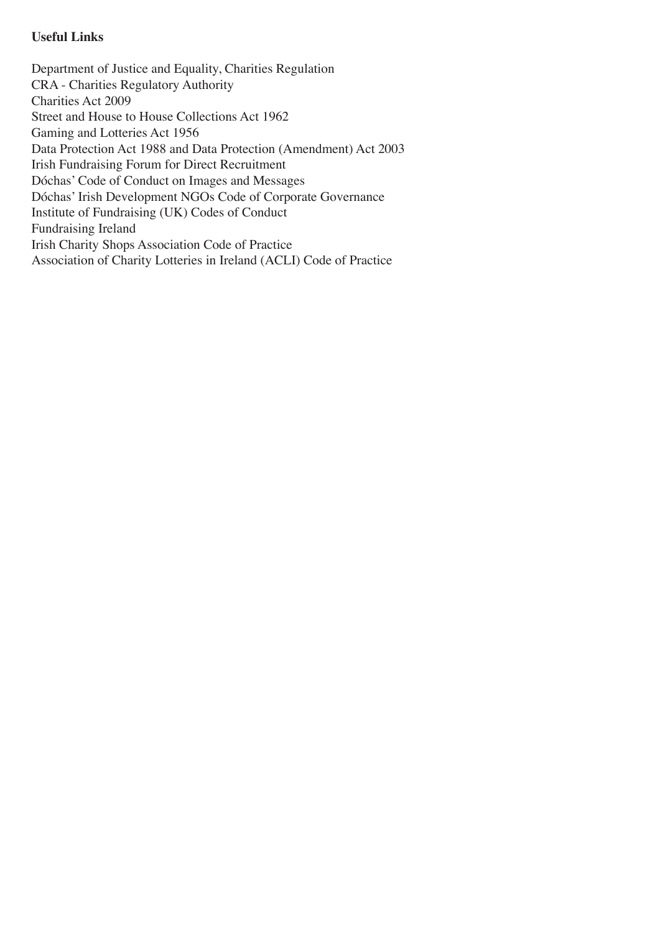### **Useful Links**

Department of Justice and Equality, Charities Regulation CRA - Charities Regulatory Authority Charities Act 2009 Street and House to House Collections Act 1962 Gaming and Lotteries Act 1956 Data Protection Act 1988 and Data Protection (Amendment) Act 2003 Irish Fundraising Forum for Direct Recruitment Dóchas' Code of Conduct on Images and Messages Dóchas' Irish Development NGOs Code of Corporate Governance Institute of Fundraising (UK) Codes of Conduct Fundraising Ireland Irish Charity Shops Association Code of Practice Association of Charity Lotteries in Ireland (ACLI) Code of Practice